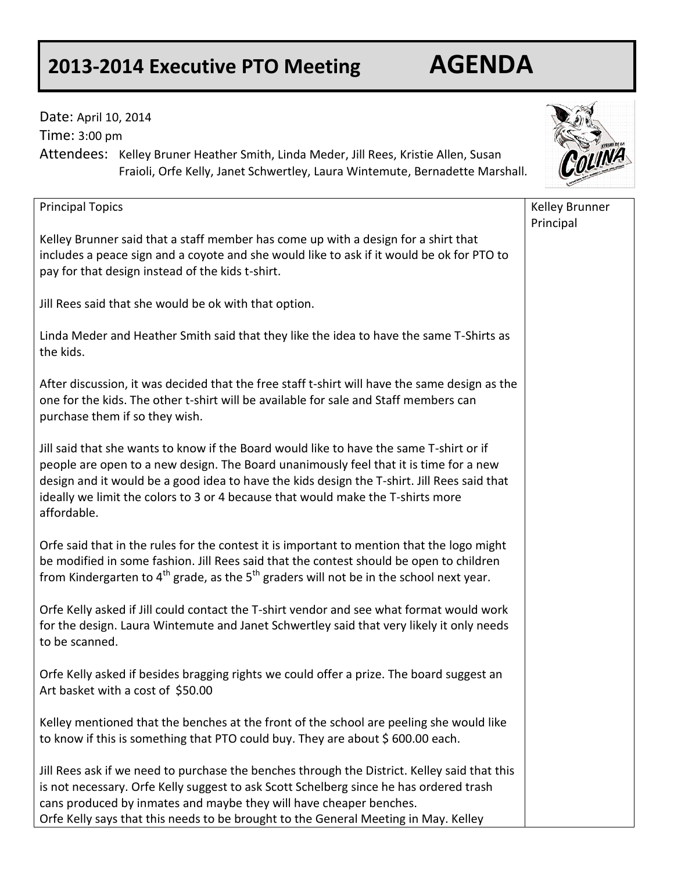## **2013-2014 Executive PTO Meeting AGENDA**

Date: April 10, 2014

Time: 3:00 pm

Attendees: Kelley Bruner Heather Smith, Linda Meder, Jill Rees, Kristie Allen, Susan Fraioli, Orfe Kelly, Janet Schwertley, Laura Wintemute, Bernadette Marshall. Principal Topics Kelley Brunner said that a staff member has come up with a design for a shirt that includes a peace sign and a coyote and she would like to ask if it would be ok for PTO to pay for that design instead of the kids t-shirt. Jill Rees said that she would be ok with that option. Linda Meder and Heather Smith said that they like the idea to have the same T-Shirts as the kids. After discussion, it was decided that the free staff t-shirt will have the same design as the one for the kids. The other t-shirt will be available for sale and Staff members can purchase them if so they wish. Jill said that she wants to know if the Board would like to have the same T-shirt or if people are open to a new design. The Board unanimously feel that it is time for a new design and it would be a good idea to have the kids design the T-shirt. Jill Rees said that ideally we limit the colors to 3 or 4 because that would make the T-shirts more affordable. Orfe said that in the rules for the contest it is important to mention that the logo might be modified in some fashion. Jill Rees said that the contest should be open to children from Kindergarten to  $4<sup>th</sup>$  grade, as the  $5<sup>th</sup>$  graders will not be in the school next year. Orfe Kelly asked if Jill could contact the T-shirt vendor and see what format would work for the design. Laura Wintemute and Janet Schwertley said that very likely it only needs to be scanned. Orfe Kelly asked if besides bragging rights we could offer a prize. The board suggest an Art basket with a cost of \$50.00 Kelley mentioned that the benches at the front of the school are peeling she would like to know if this is something that PTO could buy. They are about \$600.00 each. Kelley Brunner Principal

Jill Rees ask if we need to purchase the benches through the District. Kelley said that this is not necessary. Orfe Kelly suggest to ask Scott Schelberg since he has ordered trash cans produced by inmates and maybe they will have cheaper benches. Orfe Kelly says that this needs to be brought to the General Meeting in May. Kelley

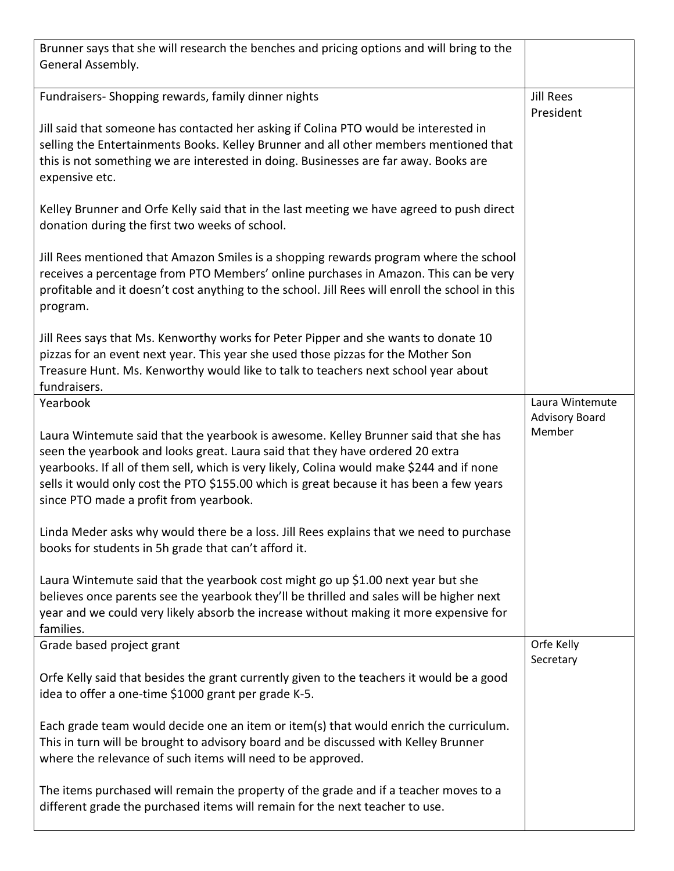| Brunner says that she will research the benches and pricing options and will bring to the<br>General Assembly.                                                                                                                                                                                                                                                                                          |                                          |
|---------------------------------------------------------------------------------------------------------------------------------------------------------------------------------------------------------------------------------------------------------------------------------------------------------------------------------------------------------------------------------------------------------|------------------------------------------|
| Fundraisers-Shopping rewards, family dinner nights                                                                                                                                                                                                                                                                                                                                                      | <b>Jill Rees</b><br>President            |
| Jill said that someone has contacted her asking if Colina PTO would be interested in<br>selling the Entertainments Books. Kelley Brunner and all other members mentioned that<br>this is not something we are interested in doing. Businesses are far away. Books are<br>expensive etc.                                                                                                                 |                                          |
| Kelley Brunner and Orfe Kelly said that in the last meeting we have agreed to push direct<br>donation during the first two weeks of school.                                                                                                                                                                                                                                                             |                                          |
| Jill Rees mentioned that Amazon Smiles is a shopping rewards program where the school<br>receives a percentage from PTO Members' online purchases in Amazon. This can be very<br>profitable and it doesn't cost anything to the school. Jill Rees will enroll the school in this<br>program.                                                                                                            |                                          |
| Jill Rees says that Ms. Kenworthy works for Peter Pipper and she wants to donate 10<br>pizzas for an event next year. This year she used those pizzas for the Mother Son<br>Treasure Hunt. Ms. Kenworthy would like to talk to teachers next school year about<br>fundraisers.                                                                                                                          |                                          |
| Yearbook                                                                                                                                                                                                                                                                                                                                                                                                | Laura Wintemute<br><b>Advisory Board</b> |
| Laura Wintemute said that the yearbook is awesome. Kelley Brunner said that she has<br>seen the yearbook and looks great. Laura said that they have ordered 20 extra<br>yearbooks. If all of them sell, which is very likely, Colina would make \$244 and if none<br>sells it would only cost the PTO \$155.00 which is great because it has been a few years<br>since PTO made a profit from yearbook. | Member                                   |
| Linda Meder asks why would there be a loss. Jill Rees explains that we need to purchase<br>books for students in 5h grade that can't afford it.                                                                                                                                                                                                                                                         |                                          |
| Laura Wintemute said that the yearbook cost might go up \$1.00 next year but she<br>believes once parents see the yearbook they'll be thrilled and sales will be higher next<br>year and we could very likely absorb the increase without making it more expensive for<br>families.                                                                                                                     |                                          |
| Grade based project grant                                                                                                                                                                                                                                                                                                                                                                               | Orfe Kelly<br>Secretary                  |
| Orfe Kelly said that besides the grant currently given to the teachers it would be a good<br>idea to offer a one-time \$1000 grant per grade K-5.                                                                                                                                                                                                                                                       |                                          |
| Each grade team would decide one an item or item(s) that would enrich the curriculum.<br>This in turn will be brought to advisory board and be discussed with Kelley Brunner<br>where the relevance of such items will need to be approved.                                                                                                                                                             |                                          |
| The items purchased will remain the property of the grade and if a teacher moves to a<br>different grade the purchased items will remain for the next teacher to use.                                                                                                                                                                                                                                   |                                          |